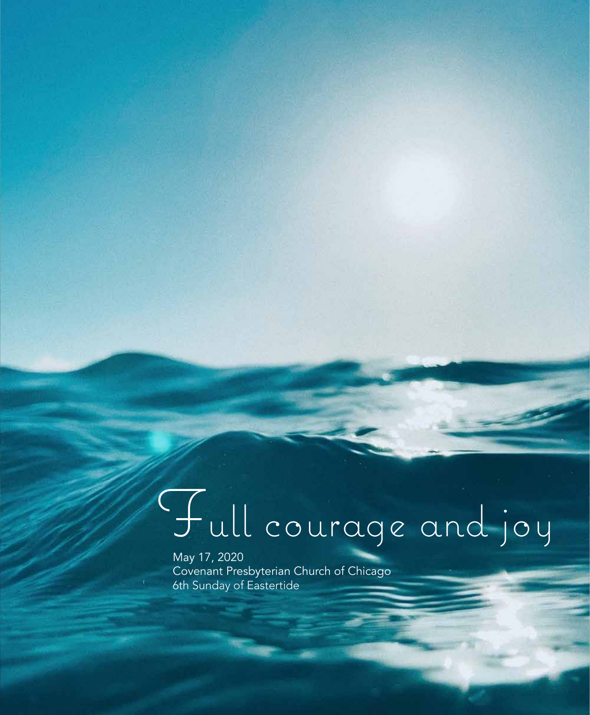# Full courage and joy

May 17, 2020 Covenant Presbyterian Church of Chicago 6th Sunday of Eastertide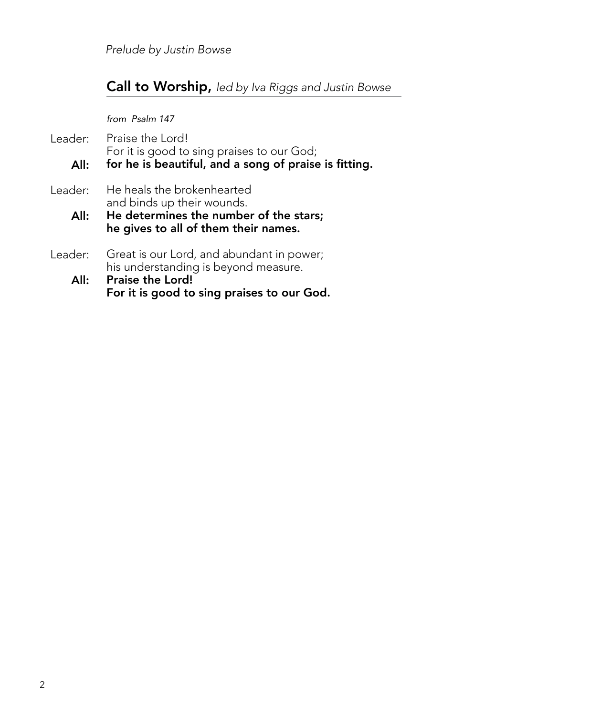*Prelude by Justin Bowse*

## Call to Worship, *led by Iva Riggs and Justin Bowse*

*from Psalm 147*

Praise the Lord! For it is good to sing praises to our God; for he is beautiful, and a song of praise is fitting. He heals the brokenhearted and binds up their wounds. He determines the number of the stars; he gives to all of them their names. Great is our Lord, and abundant in power; his understanding is beyond measure. Praise the Lord! For it is good to sing praises to our God. Leader: All: Leader: All: Leader: All: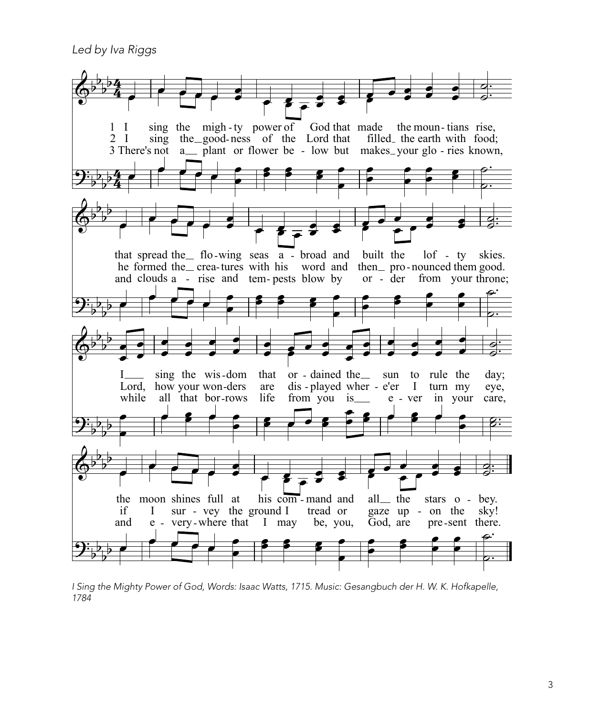Led by Iva Riggs



I Sing the Mighty Power of God, Words: Isaac Watts, 1715. Music: Gesangbuch der H. W. K. Hofkapelle, 1784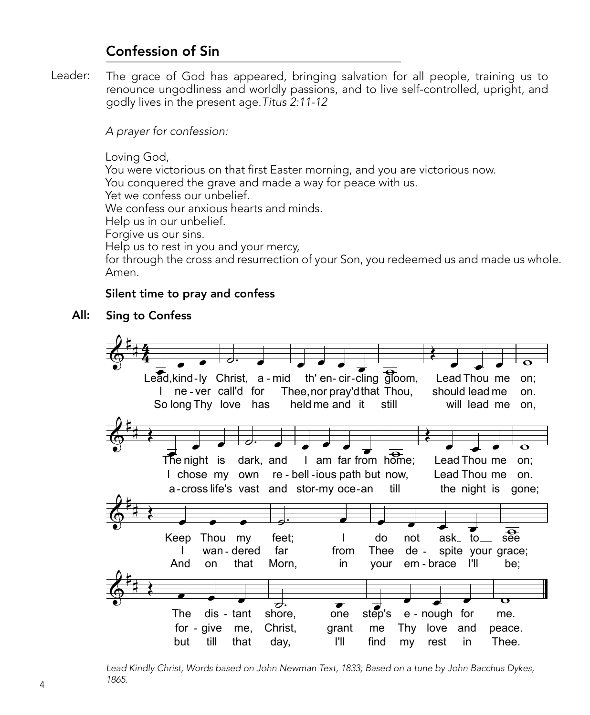# Confession of Sin

Leader: The grace of God has appeared, bringing salvation for all people, training us to renounce ungodliness and worldly passions, and to live self-controlled, upright, and godly lives in the present age*.Titus 2:11-12*

*A prayer for confession:*

Loving God,

You were victorious on that first Easter morning, and you are victorious now.

You conquered the grave and made a way for peace with us.

Yet we confess our unbelief.

We confess our anxious hearts and minds.

Help us in our unbelief.

Forgive us our sins.

Help us to rest in you and your mercy,

for through the cross and resurrection of your Son, you redeemed us and made us whole. Amen.

### Silent time to pray and confess

#### All: Sing to Confess



*Lead Kindly Christ, Words based on John Newman Text, 1833; Based on a tune by John Bacchus Dykes, 1865.*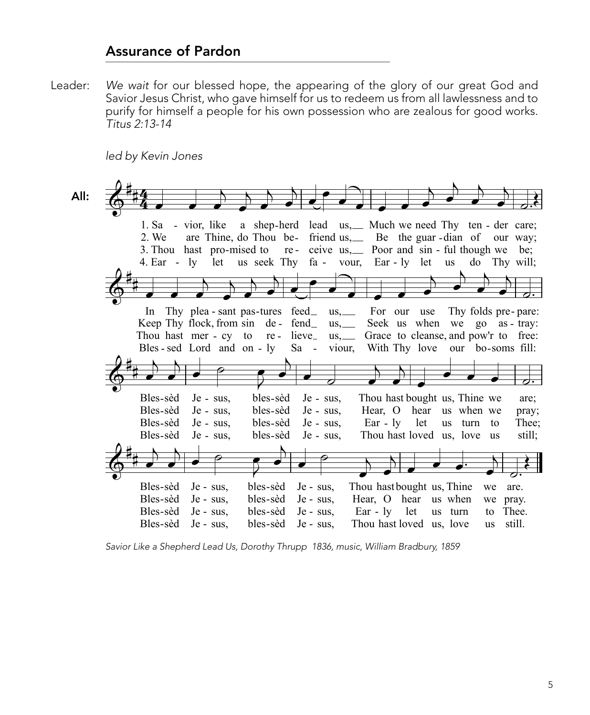## **Assurance of Pardon**

Leader: We wait for our blessed hope, the appearing of the glory of our great God and Savior Jesus Christ, who gave himself for us to redeem us from all lawlessness and to purify for himself a people for his own possession who are zealous for good works. Titus 2:13-14

led by Kevin Jones

All: 1. Sa - vior. like a shep-herd lead us, Much we need Thy ten - der care; are Thine, do Thou be- friend us, Be the guar-dian of our way; 2. We 3. Thou hast pro-mised to re-ceive us, poor and sin - ful though we be; 4. Ear -  $\vert v \vert$ let us seek Thy fa vour, Ear-ly let **us** do Thy will: In Thy plea - sant pas-tures feed  $us, \_\_$ For our use Thy folds pre-pare: Keep Thy flock, from sin de - fend\_  $us, \_\_$ Seek us when we go as - tray: Grace to cleanse, and pow'r to free: Thou hast mer - cy to  $re$  - lieve\_  $us, \_\_$ Bles-sed Lord and on-lv  $Sa -$ With Thy love our bo-soms fill: viour, Bles-sèd  $Je - sus$ , bles-sèd Je - sus. Thou hast bought us, Thine we are: Bles-sèd  $Je - sus$ , bles-sèd Je - sus. Hear, O hear us when we pray; Bles-sèd  $Je - sus$ , bles-sèd Je - sus,  $\text{Ear} - \text{ly}$  let us turn to Thee; Bles-sèd Je - sus, bles-sèd  $Je - sus.$ Thou hast loved us, love us still; Thou hastbought us, Thine Bles-sèd Je - sus. bles-sèd  $Je - sus$ , we are. Bles-sèd Je - sus, bles-sèd Je - sus. Hear, O hear us when we pray. Bles-sèd bles-sèd Je - sus.  $Ear - ly$  let us turn Je - sus. to Thee. Thou hast loved us, love Bles-sèd Je - sus, bles-sèd Je - sus, us still.

Savior Like a Shepherd Lead Us, Dorothy Thrupp 1836, music, William Bradbury, 1859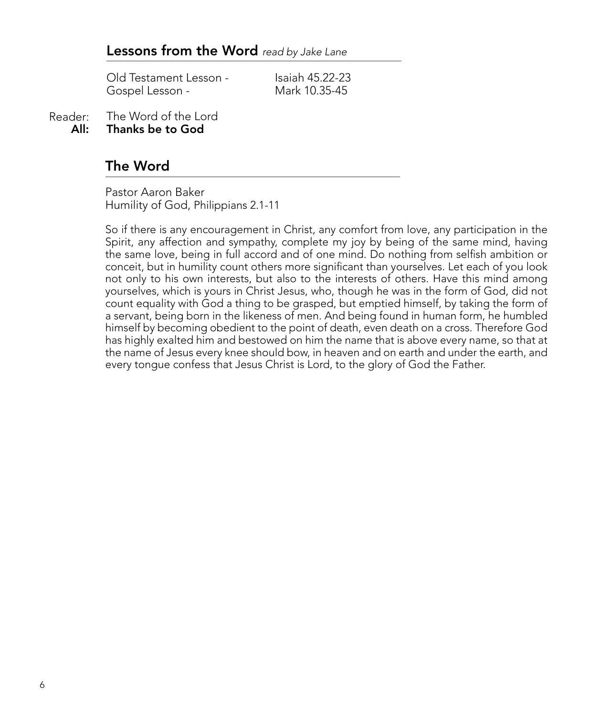Old Testament Lesson - Isaiah 45.22-23<br>Gospel Lesson - International Mark 10.35-45 Gospel Lesson -

The Word of the Lord Thanks be to God Reader: All:

## The Word

Pastor Aaron Baker Humility of God, Philippians 2.1-11

So if there is any encouragement in Christ, any comfort from love, any participation in the Spirit, any affection and sympathy, complete my joy by being of the same mind, having the same love, being in full accord and of one mind. Do nothing from selfish ambition or conceit, but in humility count others more significant than yourselves. Let each of you look not only to his own interests, but also to the interests of others. Have this mind among yourselves, which is yours in Christ Jesus, who, though he was in the form of God, did not count equality with God a thing to be grasped, but emptied himself, by taking the form of a servant, being born in the likeness of men. And being found in human form, he humbled himself by becoming obedient to the point of death, even death on a cross. Therefore God has highly exalted him and bestowed on him the name that is above every name, so that at the name of Jesus every knee should bow, in heaven and on earth and under the earth, and every tongue confess that Jesus Christ is Lord, to the glory of God the Father.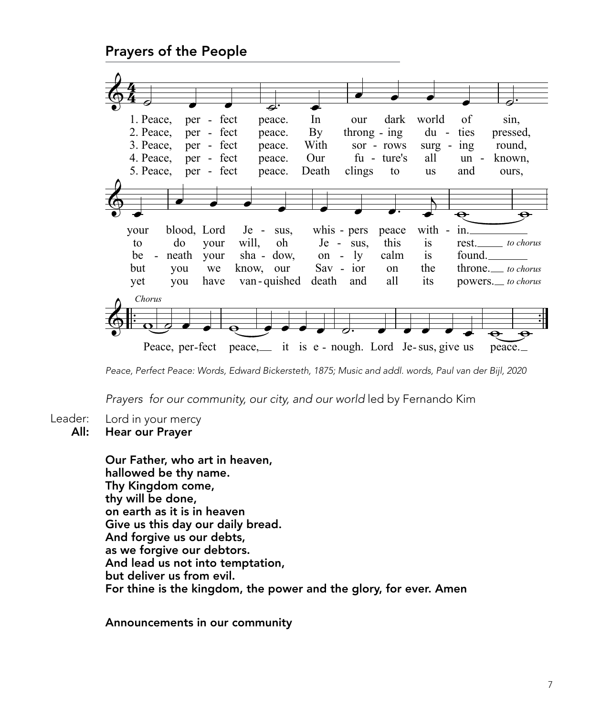Prayers of the People

|                                                                                  |                                    |        | ⋥.                     |                                                                 |                          |                        |        |                     |
|----------------------------------------------------------------------------------|------------------------------------|--------|------------------------|-----------------------------------------------------------------|--------------------------|------------------------|--------|---------------------|
| 1. Peace,                                                                        | per - fect                         |        | In<br>peace.           | our                                                             | dark                     | world                  | of     | sin,                |
| 2. Peace,                                                                        | per - fect                         |        | By<br>peace.           |                                                                 | $throughing - ing$       | $du -$                 | ties   | pressed,            |
| 3. Peace.                                                                        | per - fect                         |        | With<br>peace.         |                                                                 | sor - rows               | $surg -$               | ing    | round,              |
| 4. Peace,                                                                        | per - fect                         |        | Our<br>peace.          |                                                                 | fu - ture's              | all                    | $un -$ | known.              |
| 5. Peace,                                                                        | per - fect                         |        | Death<br>peace.        | clings                                                          | to                       | <b>us</b>              | and    | ours,               |
|                                                                                  |                                    |        |                        |                                                                 |                          |                        |        |                     |
|                                                                                  |                                    |        |                        |                                                                 |                          |                        |        |                     |
|                                                                                  |                                    |        |                        |                                                                 |                          |                        | ⊖      |                     |
| your                                                                             | blood, Lord                        | $Je -$ | sus,                   | whis - pers                                                     | peace                    | with<br>$\overline{a}$ | in.    |                     |
| do<br>to                                                                         | $Je - sus,$                        | this   |                        | rest.                                                           | to chorus                |                        |        |                     |
| be<br>neath<br>$\blacksquare$                                                    | 1y<br>calm<br>on<br>$\blacksquare$ |        | <i>is</i><br><i>is</i> | found.                                                          |                          |                        |        |                     |
| but<br>you                                                                       | $Sav - ior$                        | on     | the                    |                                                                 | throne. <i>to chorus</i> |                        |        |                     |
| know,<br>we<br>our<br>van - quished<br>death<br>all<br>have<br>and<br>yet<br>you |                                    |        |                        |                                                                 |                          |                        |        | powers.__ to chorus |
|                                                                                  |                                    |        |                        |                                                                 |                          | its                    |        |                     |
| Chorus                                                                           |                                    |        |                        |                                                                 |                          |                        |        |                     |
|                                                                                  |                                    |        |                        |                                                                 |                          |                        |        |                     |
|                                                                                  |                                    |        |                        |                                                                 |                          |                        |        |                     |
|                                                                                  |                                    |        |                        | Peace, per-fect peace, __ it is e - nough. Lord Je-sus, give us |                          |                        |        | peace.              |

*Peace, Perfect Peace: Words, Edward Bickersteth, 1875; Music and addl. words, Paul van der Bijl, 2020*

*Prayers for our community, our city, and our world* led by Fernando Kim

- Lord in your mercy Leader:
	- Hear our Prayer All:

Our Father, who art in heaven, hallowed be thy name. Thy Kingdom come, thy will be done, on earth as it is in heaven Give us this day our daily bread. And forgive us our debts, as we forgive our debtors. And lead us not into temptation, but deliver us from evil. For thine is the kingdom, the power and the glory, for ever. Amen

Announcements in our community